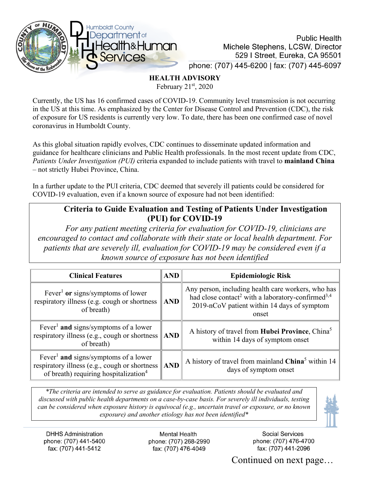

**Public Health** Michele Stephens, LCSW, Director 529 | Street, Eureka, CA 95501 phone: (707) 445-6200 | fax: (707) 445-6097

**HEALTH ADVISORY**

February 21st, 2020

Currently, the US has 16 confirmed cases of COVID-19. Community level transmission is not occurring in the US at this time. As emphasized by the Center for Disease Control and Prevention (CDC), the risk of exposure for US residents is currently very low. To date, there has been one confirmed case of novel coronavirus in Humboldt County.

As this global situation rapidly evolves, CDC continues to disseminate updated information and guidance for healthcare clinicians and Public Health professionals. In the most recent update from CDC, *Patients Under Investigation (PUI)* criteria expanded to include patients with travel to **mainland China** – not strictly Hubei Province, China.

In a further update to the PUI criteria, CDC deemed that severely ill patients could be considered for COVID-19 evaluation, even if a known source of exposure had not been identified:

## **Criteria to Guide Evaluation and Testing of Patients Under Investigation (PUI) for COVID-19**

*For any patient meeting criteria for evaluation for COVID-19, clinicians are encouraged to contact and collaborate with their state or local health department. For patients that are severely ill, evaluation for COVID-19 may be considered even if a known source of exposure has not been identified* 

| <b>Clinical Features</b>                                                                                                                               | <b>AND</b> | <b>Epidemiologic Risk</b>                                                                                                                                                               |
|--------------------------------------------------------------------------------------------------------------------------------------------------------|------------|-----------------------------------------------------------------------------------------------------------------------------------------------------------------------------------------|
| Fever <sup>1</sup> or signs/symptoms of lower<br>respiratory illness (e.g. cough or shortness<br>of breath)                                            | $\ $ AND   | Any person, including health care workers, who has<br>had close contact <sup>2</sup> with a laboratory-confirmed <sup>3,4</sup><br>2019-nCoV patient within 14 days of symptom<br>onset |
| Fever <sup>1</sup> and signs/symptoms of a lower<br>respiratory illness (e.g., cough or shortness $\parallel$ AND<br>of breath)                        |            | A history of travel from Hubei Province, China <sup>5</sup><br>within 14 days of symptom onset                                                                                          |
| Fever <sup>1</sup> and signs/symptoms of a lower<br>respiratory illness (e.g., cough or shortness<br>of breath) requiring hospitalization <sup>4</sup> | $\ $ AND   | A history of travel from mainland China <sup>5</sup> within 14<br>days of symptom onset                                                                                                 |

*\*The criteria are intended to serve as guidance for evaluation. Patients should be evaluated and discussed with public health departments on a case-by-case basis. For severely ill individuals, testing can be considered when exposure history is equivocal (e.g., uncertain travel or exposure, or no known exposure) and another etiology has not been identified\**



**Mental Health** phone: (707) 268-2990 fax: (707) 476-4049

Social Services phone: (707) 476-4700 fax: (707) 441-2096

Continued on next page…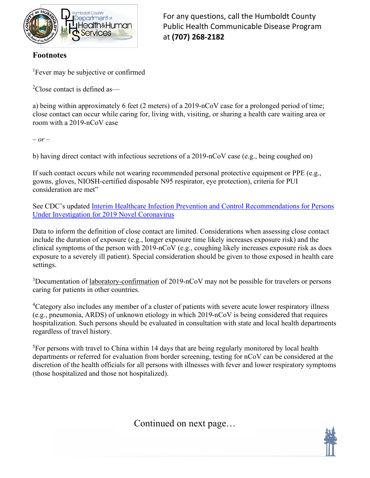

For any questions, call the Humboldt County Public Health Communicable Disease Program at **(707) 268-2182**

## **Footnotes**

<sup>1</sup>Fever may be subjective or confirmed

<sup>2</sup>Close contact is defined as—

a) being within approximately 6 feet (2 meters) of a 2019-nCoV case for a prolonged period of time; close contact can occur while caring for, living with, visiting, or sharing a health care waiting area or room with a 2019-nCoV case

*– or –*

b) having direct contact with infectious secretions of a 2019-nCoV case (e.g., being coughed on)

If such contact occurs while not wearing recommended personal protective equipment or PPE (e.g., gowns, gloves, NIOSH-certified disposable N95 respirator, eye protection), criteria for PUI consideration are met"

See CDC's updated [Interim Healthcare Infection Prevention and Control Recommendations for Persons](https://www.cdc.gov/coronavirus/2019-ncov/infection-control.html)  [Under Investigation for 2019 Novel Coronavirus](https://www.cdc.gov/coronavirus/2019-ncov/infection-control.html)

Data to inform the definition of close contact are limited. Considerations when assessing close contact include the duration of exposure (e.g., longer exposure time likely increases exposure risk) and the clinical symptoms of the person with 2019-nCoV (e.g., coughing likely increases exposure risk as does exposure to a severely ill patient). Special consideration should be given to those exposed in health care settings.

<sup>3</sup>Documentation of laboratory-confirmation of 2019-nCoV may not be possible for travelers or persons caring for patients in other countries.

<sup>4</sup>Category also includes any member of a cluster of patients with severe acute lower respiratory illness (e.g., pneumonia, ARDS) of unknown etiology in which 2019-nCoV is being considered that requires hospitalization. Such persons should be evaluated in consultation with state and local health departments regardless of travel history.

<sup>5</sup>For persons with travel to China within 14 days that are being regularly monitored by local health departments or referred for evaluation from border screening, testing for nCoV can be considered at the discretion of the health officials for all persons with illnesses with fever and lower respiratory symptoms (those hospitalized and those not hospitalized).

Continued on next page…